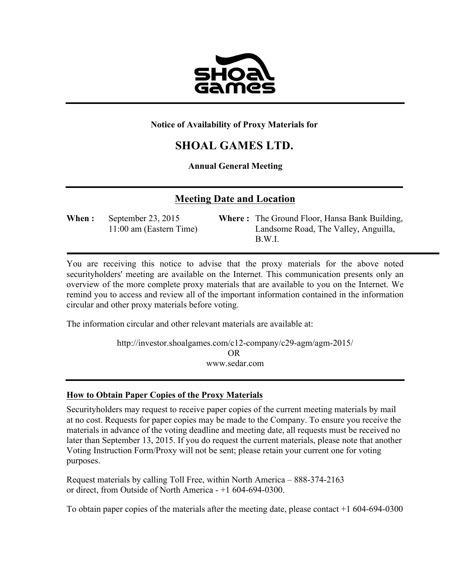

#### **Notice of Availability of Proxy Materials for**

# **SHOAL GAMES LTD.**

### **Annual General Meeting**

## **Meeting Date and Location**

**When :** September 23, 2015 **Where :** The Ground Floor, Hansa Bank Building, 11:00 am (Eastern Time) Landsome Road, The Valley, Anguilla, B.W.I.

You are receiving this notice to advise that the proxy materials for the above noted securityholders' meeting are available on the Internet. This communication presents only an overview of the more complete proxy materials that are available to you on the Internet. We remind you to access and review all of the important information contained in the information circular and other proxy materials before voting.

The information circular and other relevant materials are available at:

http://investor.shoalgames.com/c12-company/c29-agm/agm-2015/ OR www.sedar.com

#### **How to Obtain Paper Copies of the Proxy Materials**

Securityholders may request to receive paper copies of the current meeting materials by mail at no cost. Requests for paper copies may be made to the Company. To ensure you receive the materials in advance of the voting deadline and meeting date, all requests must be received no later than September 13, 2015. If you do request the current materials, please note that another Voting Instruction Form/Proxy will not be sent; please retain your current one for voting purposes.

Request materials by calling Toll Free, within North America – 888-374-2163 or direct, from Outside of North America - +1 604-694-0300.

To obtain paper copies of the materials after the meeting date, please contact +1 604-694-0300